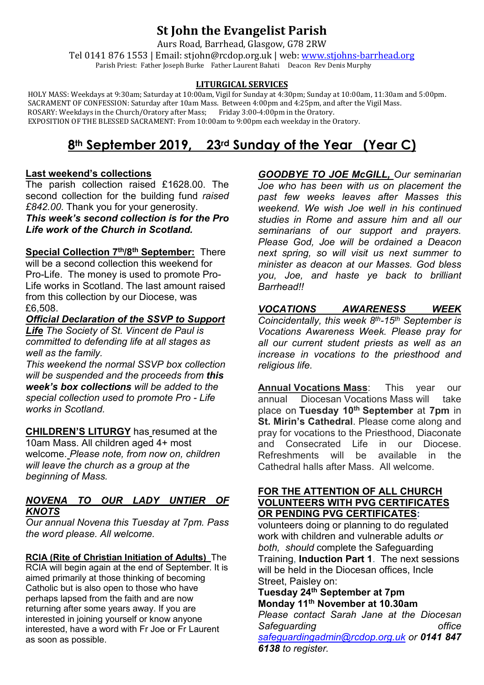## **St John the Evangelist Parish**

Aurs Road, Barrhead, Glasgow, G78 2RW

Tel 0141 876 1553 | Email: stjohn@rcdop.org.uk | web: [www.stjohns-barrhead.org](http://www.stjohns-barrhead.org/) Parish Priest: Father Joseph Burke Father Laurent Bahati Deacon Rev Denis Murphy

#### **LITURGICAL SERVICES**

 HOLY MASS: Weekdays at 9:30am; Saturday at 10:00am, Vigil for Sunday at 4:30pm; Sunday at 10:00am, 11:30am and 5:00pm. SACRAMENT OF CONFESSION: Saturday after 10am Mass. Between 4:00pm and 4:25pm, and after the Vigil Mass.<br>ROSARY: Weekdays in the Church/Oratory after Mass; Friday 3:00-4:00pm in the Oratory. ROSARY: Weekdays in the Church/Oratory after Mass; Friday 3:00-4:00pm in the Oratory. EXPOSITION OF THE BLESSED SACRAMENT: From 10:00am to 9:00pm each weekday in the Oratory.

# **8th September 2019, 23rd Sunday of the Year (Year C)**

## **Last weekend's collections**

The parish collection raised £1628.00. The second collection for the building fund *raised £842.00*. Thank you for your generosity. *This week's second collection is for the Pro Life work of the Church in Scotland.*

**Special Collection 7th/8th September:** There will be a second collection this weekend for Pro-Life. The money is used to promote Pro-Life works in Scotland. The last amount raised from this collection by our Diocese, was £6,508.

*Official Declaration of the SSVP to Support* 

*Life The Society of St. Vincent de Paul is committed to defending life at all stages as well as the family.*

*This weekend the normal SSVP box collection will be suspended and the proceeds from this week's box collections will be added to the special collection used to promote Pro - Life works in Scotland.*

**CHILDREN'S LITURGY** has resumed at the 10am Mass. All children aged 4+ most welcome. *Please note, from now on, children will leave the church as a group at the beginning of Mass.*

## *NOVENA TO OUR LADY UNTIER OF KNOTS*

*Our annual Novena this Tuesday at 7pm. Pass the word please. All welcome.*

**RCIA (Rite of Christian Initiation of Adults)** The RCIA will begin again at the end of September. It is aimed primarily at those thinking of becoming Catholic but is also open to those who have perhaps lapsed from the faith and are now returning after some years away. If you are interested in joining yourself or know anyone interested, have a word with Fr Joe or Fr Laurent as soon as possible.

*GOODBYE TO JOE McGILL, Our seminarian Joe who has been with us on placement the past few weeks leaves after Masses this weekend. We wish Joe well in his continued studies in Rome and assure him and all our seminarians of our support and prayers. Please God, Joe will be ordained a Deacon next spring, so will visit us next summer to minister as deacon at our Masses. God bless you, Joe, and haste ye back to brilliant Barrhead!!*

## *VOCATIONS AWARENESS WEEK*

*Coincidentally, this week 8th-15th September is Vocations Awareness Week. Please pray for all our current student priests as well as an increase in vocations to the priesthood and religious life.*

**Annual Vocations Mass**: This year our annual Diocesan Vocations Mass will take place on **Tuesday 10th September** at **7pm** in **St. Mirin's Cathedral**. Please come along and pray for vocations to the Priesthood, Diaconate and Consecrated Life in our Diocese. Refreshments will be available in the Cathedral halls after Mass. All welcome.

## **FOR THE ATTENTION OF ALL CHURCH VOLUNTEERS WITH PVG CERTIFICATES OR PENDING PVG CERTIFICATES:**

volunteers doing or planning to do regulated work with children and vulnerable adults *or both, should* complete the Safeguarding Training, **Induction Part 1**. The next sessions will be held in the Diocesan offices, Incle Street, Paisley on:

**Tuesday 24th September at 7pm Monday 11th November at 10.30am**

*Please contact Sarah Jane at the Diocesan Safeguarding office [safeguardingadmin@rcdop.org.uk](mailto:safeguardingadmin@rcdop.org.uk) or 0141 847 6138 to register.*